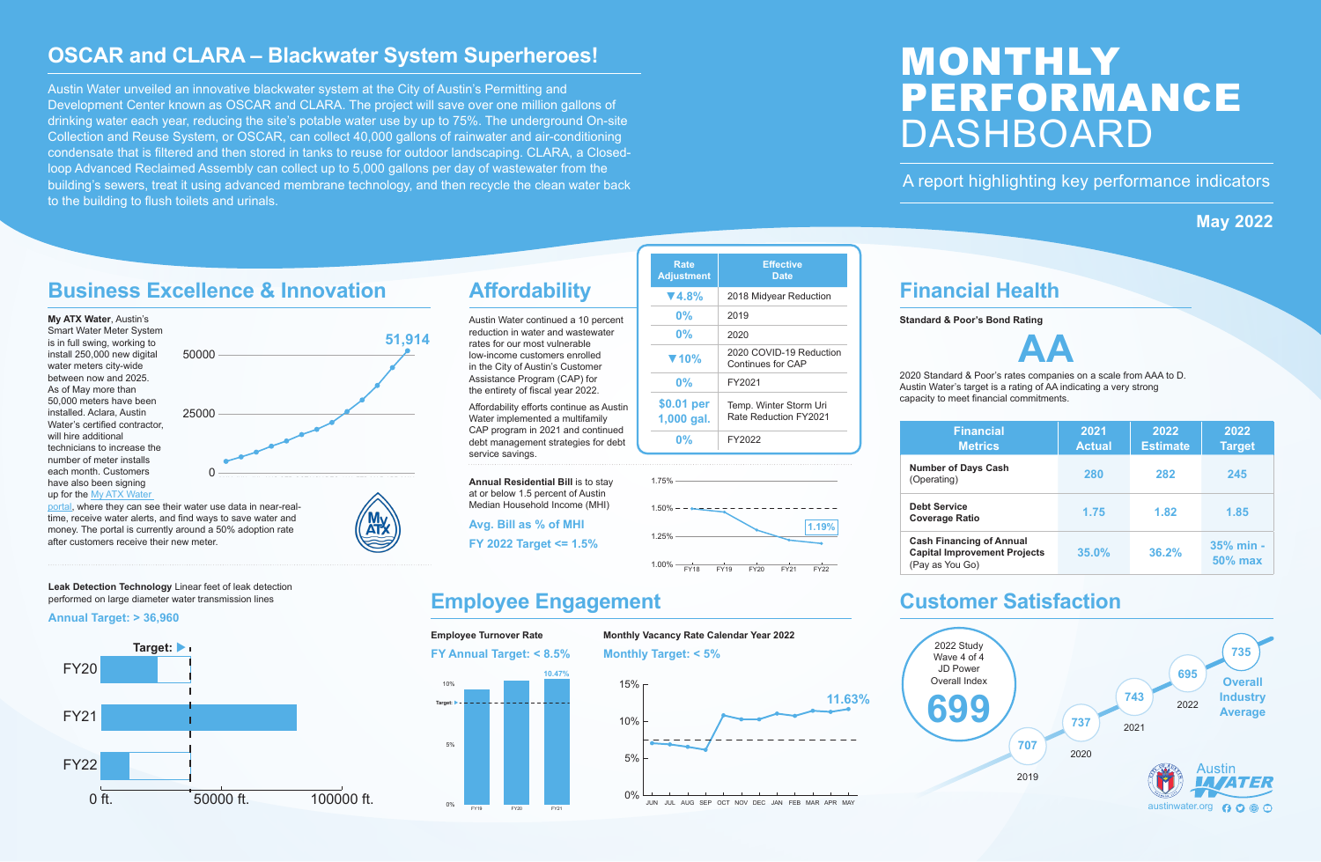

**Number of** 

**Debt Servi** 

**Cash Final Capital Imp** (Pay as You

# **Financial Health**

## **Standard & Poor's Bond Rating**



2020 Standard & Poor's rates companies on a scale from AAA to D. Austin Water's target is a rating of AA indicating a very strong capacity to meet financial commitments.

# MONTHLY PERFORMANCE DASHBOARD

## A report highlighting key performance indicators

# **May 2022**

# **Affordability**

Austin Water continued a 10 percent reduction in water and wastewater rates for our most vulnerable low-income customers enrolled in the City of Austin's Customer Assistance Program (CAP) for the entirety of fiscal year 2022.

Affordability efforts continue as Austin Water implemented a multifamily CAP program in 2021 and continued debt management strategies for debt service savings.



# **Employee Engagement Customer Satisfaction**

**Annual Residential Bill** is to stay at or below 1.5 percent of Austin Median Household Income (MHI)

## **Avg. Bill as % of MHI**

**FY 2022 Target <= 1.5%**

# **Monthly Vacancy Rate Calendar Year 2022**



# **OSCAR and CLARA – Blackwater System Superheroes!**

Austin Water unveiled an innovative blackwater system at the City of Austin's Permitting and Development Center known as OSCAR and CLARA. The project will save over one million gallons of drinking water each year, reducing the site's potable water use by up to 75%. The underground On-site Collection and Reuse System, or OSCAR, can collect 40,000 gallons of rainwater and air-conditioning condensate that is filtered and then stored in tanks to reuse for outdoor landscaping. CLARA, a Closedloop Advanced Reclaimed Assembly can collect up to 5,000 gallons per day of wastewater from the building's sewers, treat it using advanced membrane technology, and then recycle the clean water back to the building to flush toilets and urinals.



| <b>Financial</b><br><b>Metrics</b>                                                        | 2021<br><b>Actual</b> | 2022<br><b>Estimate</b> | 2022<br><b>Target</b>       |  |  |
|-------------------------------------------------------------------------------------------|-----------------------|-------------------------|-----------------------------|--|--|
| <b>Number of Days Cash</b><br>(Operating)                                                 | 280                   | 282                     | 245                         |  |  |
| <b>Debt Service</b><br>Coverage Ratio                                                     | 1.75                  | 1.82                    | 1.85                        |  |  |
| <b>Cash Financing of Annual</b><br><b>Capital Improvement Projects</b><br>(Pay as You Go) | 35.0%                 | 36.2%                   | 35% min -<br><b>50% max</b> |  |  |

# 0% 5% 10% FY19 FY20 FY21 **10.47% Target: Employee Turnover Rate FY Annual Target: < 8.5%**

| Rate<br><b>Adjustment</b> | <b>Effective</b><br><b>Date</b>                 |
|---------------------------|-------------------------------------------------|
| $\P(4.8\%$                | 2018 Midyear Reduction                          |
| $0\%$                     | 2019                                            |
| 0%                        | 2020                                            |
| $\blacktriangledown$ 10%  | 2020 COVID-19 Reduction<br>Continues for CAP    |
| 0%                        | FY2021                                          |
| \$0.01 per<br>1,000 gal.  | Temp. Winter Storm Uri<br>Rate Reduction FY2021 |
| 0%                        | FY2022                                          |

# **Business Excellence & Innovation**





## time, receive water alerts, and find ways to save water and money. The portal is currently around a 50% adoption rate after customers receive their new meter.

**Leak Detection Technology** Linear feet of leak detection performed on large diameter water transmission lines

## **Annual Target: > 36,960**